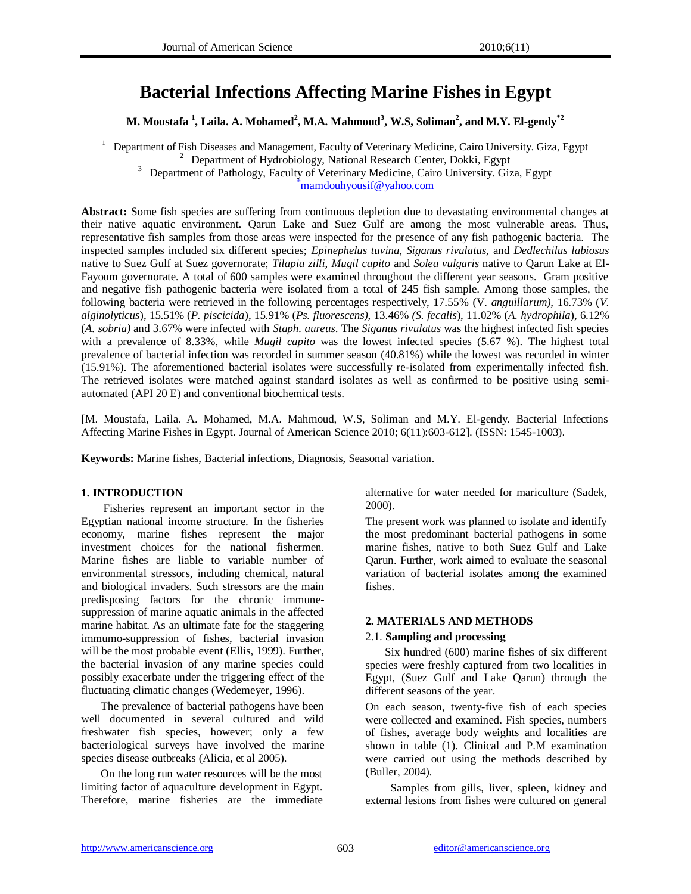# **Bacterial Infections Affecting Marine Fishes in Egypt**

**M. Moustafa <sup>1</sup> , Laila. A. Mohamed<sup>2</sup> , M.A. Mahmoud<sup>3</sup> , W.S, Soliman<sup>2</sup> , and M.Y. El-gendy\*2**

<sup>1</sup> Department of Fish Diseases and Management, Faculty of Veterinary Medicine, Cairo University. Giza, Egypt <sup>2</sup> Department of Hydrobiology, National Research Center, Dokki, Egypt <sup>3</sup> Department of Pathology, Faculty of Veterinary Medicine, Cairo University. Giza, Egypt

\*[mamdouhyousif@yahoo.com](mailto:*mamdouhyousif@yahoo.com)

**Abstract:** Some fish species are suffering from continuous depletion due to devastating environmental changes at their native aquatic environment. Qarun Lake and Suez Gulf are among the most vulnerable areas. Thus, representative fish samples from those areas were inspected for the presence of any fish pathogenic bacteria. The inspected samples included six different species; *Epinephelus tuvina*, *Siganus rivulatus*, and *Dedlechilus labiosus* native to Suez Gulf at Suez governorate; *Tilapia zilli*, *Mugil capito* and *Solea vulgaris* native to Qarun Lake at El-Fayoum governorate. A total of 600 samples were examined throughout the different year seasons. Gram positive and negative fish pathogenic bacteria were isolated from a total of 245 fish sample. Among those samples, the following bacteria were retrieved in the following percentages respectively, 17.55% (V*. anguillarum),* 16.73% (*V. alginolyticus*), 15.51% (*P. piscicida*), 15.91% (*Ps. fluorescens)*, 13.46% *(S. fecalis*), 11.02% (*A. hydrophila*), 6.12% (*A. sobria)* and 3.67% were infected with *Staph. aureus*. The *Siganus rivulatus* was the highest infected fish species with a prevalence of 8.33%, while *Mugil capito* was the lowest infected species (5.67 %). The highest total prevalence of bacterial infection was recorded in summer season (40.81%) while the lowest was recorded in winter (15.91%). The aforementioned bacterial isolates were successfully re-isolated from experimentally infected fish. The retrieved isolates were matched against standard isolates as well as confirmed to be positive using semiautomated (API 20 E) and conventional biochemical tests.

[M. Moustafa, Laila. A. Mohamed, M.A. Mahmoud, W.S, Soliman and M.Y. El-gendy. Bacterial Infections Affecting Marine Fishes in Egypt. Journal of American Science 2010; 6(11):603-612]. (ISSN: 1545-1003).

**Keywords:** Marine fishes, Bacterial infections, Diagnosis, Seasonal variation.

#### **1. INTRODUCTION**

 Fisheries represent an important sector in the Egyptian national income structure. In the fisheries economy, marine fishes represent the major investment choices for the national fishermen. Marine fishes are liable to variable number of environmental stressors, including chemical, natural and biological invaders. Such stressors are the main predisposing factors for the chronic immunesuppression of marine aquatic animals in the affected marine habitat. As an ultimate fate for the staggering immumo-suppression of fishes, bacterial invasion will be the most probable event (Ellis, 1999). Further, the bacterial invasion of any marine species could possibly exacerbate under the triggering effect of the fluctuating climatic changes (Wedemeyer, 1996).

 The prevalence of bacterial pathogens have been well documented in several cultured and wild freshwater fish species, however; only a few bacteriological surveys have involved the marine species disease outbreaks (Alicia, et al 2005).

 On the long run water resources will be the most limiting factor of aquaculture development in Egypt. Therefore, marine fisheries are the immediate alternative for water needed for mariculture (Sadek, 2000).

The present work was planned to isolate and identify the most predominant bacterial pathogens in some marine fishes, native to both Suez Gulf and Lake Qarun. Further, work aimed to evaluate the seasonal variation of bacterial isolates among the examined fishes.

#### **2. MATERIALS AND METHODS**

#### 2.1. **Sampling and processing**

 Six hundred (600) marine fishes of six different species were freshly captured from two localities in Egypt, (Suez Gulf and Lake Qarun) through the different seasons of the year.

On each season, twenty-five fish of each species were collected and examined. Fish species, numbers of fishes, average body weights and localities are shown in table (1). Clinical and P.M examination were carried out using the methods described by (Buller, 2004).

 Samples from gills, liver, spleen, kidney and external lesions from fishes were cultured on general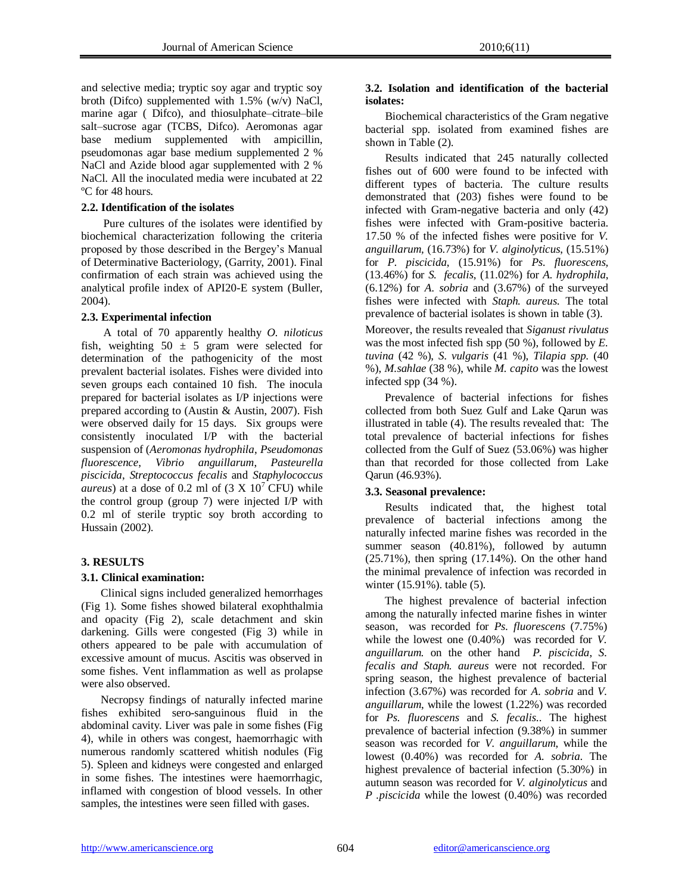and selective media; tryptic soy agar and tryptic soy broth (Difco) supplemented with 1.5% (w/v) NaCl, marine agar ( Difco), and thiosulphate–citrate–bile salt–sucrose agar (TCBS, Difco). Aeromonas agar base medium supplemented with ampicillin, pseudomonas agar base medium supplemented 2 % NaCl and Azide blood agar supplemented with 2 % NaCl. All the inoculated media were incubated at 22 ºC for 48 hours.

#### **2.2. Identification of the isolates**

 Pure cultures of the isolates were identified by biochemical characterization following the criteria proposed by those described in the Bergey's Manual of Determinative Bacteriology, (Garrity, 2001). Final confirmation of each strain was achieved using the analytical profile index of API20-E system (Buller, 2004).

## **2.3. Experimental infection**

 A total of 70 apparently healthy *O. niloticus* fish, weighting  $50 \pm 5$  gram were selected for determination of the pathogenicity of the most prevalent bacterial isolates. Fishes were divided into seven groups each contained 10 fish. The inocula prepared for bacterial isolates as I/P injections were prepared according to (Austin & Austin, 2007). Fish were observed daily for 15 days. Six groups were consistently inoculated I/P with the bacterial suspension of (*Aeromonas hydrophila*, *Pseudomonas fluorescence*, *Vibrio anguillarum*, *Pasteurella piscicida*, *Streptococcus fecalis* and *Staphylococcus aureus*) at a dose of 0.2 ml of  $(3 \text{ X } 10^7 \text{ CFU})$  while the control group (group 7) were injected I/P with 0.2 ml of sterile tryptic soy broth according to Hussain (2002).

## **3. RESULTS**

## **3.1. Clinical examination:**

 Clinical signs included generalized hemorrhages (Fig 1). Some fishes showed bilateral exophthalmia and opacity (Fig 2), scale detachment and skin darkening. Gills were congested (Fig 3) while in others appeared to be pale with accumulation of excessive amount of mucus. Ascitis was observed in some fishes. Vent inflammation as well as prolapse were also observed.

 Necropsy findings of naturally infected marine fishes exhibited sero-sanguinous fluid in the abdominal cavity. Liver was pale in some fishes (Fig 4), while in others was congest, haemorrhagic with numerous randomly scattered whitish nodules (Fig 5). Spleen and kidneys were congested and enlarged in some fishes. The intestines were haemorrhagic, inflamed with congestion of blood vessels. In other samples, the intestines were seen filled with gases.

#### **3.2. Isolation and identification of the bacterial isolates:**

 Biochemical characteristics of the Gram negative bacterial spp. isolated from examined fishes are shown in Table (2).

 Results indicated that 245 naturally collected fishes out of 600 were found to be infected with different types of bacteria. The culture results demonstrated that (203) fishes were found to be infected with Gram-negative bacteria and only (42) fishes were infected with Gram-positive bacteria. 17.50 % of the infected fishes were positive for *V. anguillarum,* (16.73%) for *V. alginolyticus*, (15.51%) for *P. piscicida*, (15.91%) for *Ps. fluorescens,* (13.46%) for *S. fecalis*, (11.02%) for *A. hydrophila*, (6.12%) for *A. sobria* and (3.67%) of the surveyed fishes were infected with *Staph. aureus.* The total prevalence of bacterial isolates is shown in table (3).

Moreover, the results revealed that *Siganust rivulatus* was the most infected fish spp (50 %), followed by *E. tuvina* (42 %), *S. vulgaris* (41 %), *Tilapia spp.* (40 %), *M.sahlae* (38 %), while *M. capito* was the lowest infected spp (34 %).

 Prevalence of bacterial infections for fishes collected from both Suez Gulf and Lake Qarun was illustrated in table (4). The results revealed that: The total prevalence of bacterial infections for fishes collected from the Gulf of Suez (53.06%) was higher than that recorded for those collected from Lake Qarun (46.93%).

## **3.3. Seasonal prevalence:**

 Results indicated that, the highest total prevalence of bacterial infections among the naturally infected marine fishes was recorded in the summer season (40.81%), followed by autumn (25.71%), then spring (17.14%). On the other hand the minimal prevalence of infection was recorded in winter (15.91%). table (5).

 The highest prevalence of bacterial infection among the naturally infected marine fishes in winter season, was recorded for *Ps. fluorescens* (7.75%) while the lowest one (0.40%) was recorded for *V. anguillarum.* on the other hand *P. piscicida*, *S. fecalis and Staph. aureus* were not recorded. For spring season, the highest prevalence of bacterial infection (3.67%) was recorded for *A. sobria* and *V. anguillarum*, while the lowest (1.22%) was recorded for *Ps. fluorescens* and *S. fecalis*.. The highest prevalence of bacterial infection (9.38%) in summer season was recorded for *V. anguillarum*, while the lowest (0.40%) was recorded for *A. sobria*. The highest prevalence of bacterial infection (5.30%) in autumn season was recorded for *V. alginolyticus* and *P .piscicida* while the lowest (0.40%) was recorded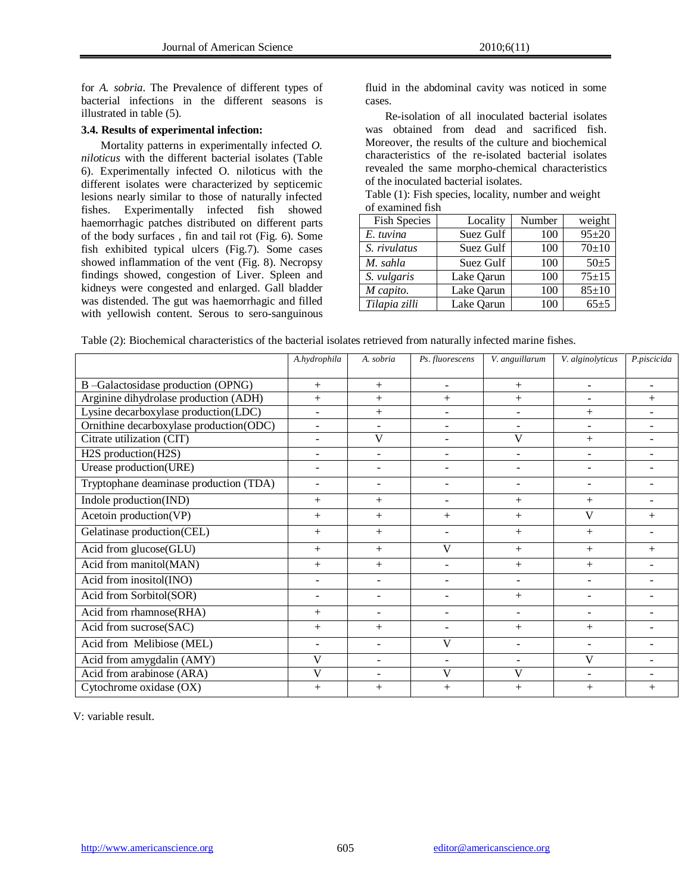for *A. sobria*. The Prevalence of different types of bacterial infections in the different seasons is illustrated in table (5).

#### **3.4. Results of experimental infection:**

 Mortality patterns in experimentally infected *O. niloticus* with the different bacterial isolates (Table 6). Experimentally infected O. niloticus with the different isolates were characterized by septicemic lesions nearly similar to those of naturally infected fishes. Experimentally infected fish showed haemorrhagic patches distributed on different parts of the body surfaces , fin and tail rot (Fig. 6). Some fish exhibited typical ulcers (Fig.7). Some cases showed inflammation of the vent (Fig. 8). Necropsy findings showed, congestion of Liver. Spleen and kidneys were congested and enlarged. Gall bladder was distended. The gut was haemorrhagic and filled with yellowish content. Serous to sero-sanguinous

fluid in the abdominal cavity was noticed in some cases.

 Re-isolation of all inoculated bacterial isolates was obtained from dead and sacrificed fish. Moreover, the results of the culture and biochemical characteristics of the re-isolated bacterial isolates revealed the same morpho-chemical characteristics of the inoculated bacterial isolates.

Table (1): Fish species, locality, number and weight of examined fish

| <b>Fish Species</b> | Locality   | Number | weight      |
|---------------------|------------|--------|-------------|
| E. tuvina           | Suez Gulf  | 100    | $95 + 20$   |
| S. rivulatus        | Suez Gulf  | 100    | $70+10$     |
| M. sahla            | Suez Gulf  | 100    | $50+5$      |
| S. vulgaris         | Lake Qarun | 100    | $75 + 15$   |
| M capito.           | Lake Qarun | 100    | $85 \pm 10$ |
| Tilapia zilli       | Lake Qarun | 100    | $65+5$      |

|  |  |  | Table (2): Biochemical characteristics of the bacterial isolates retrieved from naturally infected marine fishes. |
|--|--|--|-------------------------------------------------------------------------------------------------------------------|
|--|--|--|-------------------------------------------------------------------------------------------------------------------|

|                                         | A.hydrophila             | A. sobria      | Ps. fluorescens          | V. anguillarum           | V. alginolyticus         | P.piscicida |
|-----------------------------------------|--------------------------|----------------|--------------------------|--------------------------|--------------------------|-------------|
| B-Galactosidase production (OPNG)       | $^{+}$                   | $+$            | $\overline{\phantom{a}}$ | $+$                      |                          |             |
| Arginine dihydrolase production (ADH)   | $+$                      | $^{+}$         | $+$                      | $^{+}$                   |                          | $^{+}$      |
| Lysine decarboxylase production(LDC)    | $\blacksquare$           | $^{+}$         | $\blacksquare$           | ۰                        | $^{+}$                   |             |
| Ornithine decarboxylase production(ODC) | $\blacksquare$           |                | $\overline{\phantom{a}}$ |                          |                          |             |
| Citrate utilization (CIT)               | $\sim$                   | $\mathbf{V}$   | $\overline{\phantom{a}}$ | V                        | $^{+}$                   |             |
| H2S production(H2S)                     |                          |                |                          |                          |                          |             |
| Urease production(URE)                  |                          |                |                          |                          |                          |             |
| Tryptophane deaminase production (TDA)  | $\overline{\phantom{a}}$ |                | ۰                        | ۰                        |                          |             |
| Indole production(IND)                  | $^{+}$                   | $^{+}$         |                          | $+$                      | $^{+}$                   |             |
| Acetoin production(VP)                  | $^{+}$                   | $^{+}$         | $^{+}$                   | $^{+}$                   | V                        | $^{+}$      |
| Gelatinase production(CEL)              | $^{+}$                   | $^{+}$         |                          | $^{+}$                   | $^{+}$                   |             |
| Acid from glucose(GLU)                  | $^{+}$                   | $^{+}$         | V                        | $^{+}$                   | $^{+}$                   | $^{+}$      |
| Acid from manitol(MAN)                  | $+$                      | $^{+}$         |                          | $+$                      | $^{+}$                   |             |
| Acid from inositol(INO)                 | $\blacksquare$           |                | $\blacksquare$           |                          |                          |             |
| Acid from Sorbitol(SOR)                 |                          |                |                          | $^{+}$                   |                          |             |
| Acid from rhamnose(RHA)                 | $^{+}$                   | $\blacksquare$ | $\blacksquare$           | $\overline{\phantom{a}}$ |                          |             |
| Acid from sucrose(SAC)                  | $^{+}$                   | $^{+}$         | ۰                        | $+$                      | $^{+}$                   |             |
| Acid from Melibiose (MEL)               | $\blacksquare$           |                | V                        | ÷.                       | $\overline{\phantom{a}}$ |             |
| Acid from amygdalin (AMY)               | V                        | $\sim$         |                          |                          | V                        |             |
| Acid from arabinose (ARA)               | V                        |                | V                        | V                        |                          |             |
| Cytochrome oxidase (OX)                 | $+$                      | $^{+}$         | $^{+}$                   | $^{+}$                   | $^{+}$                   | $+$         |

V: variable result.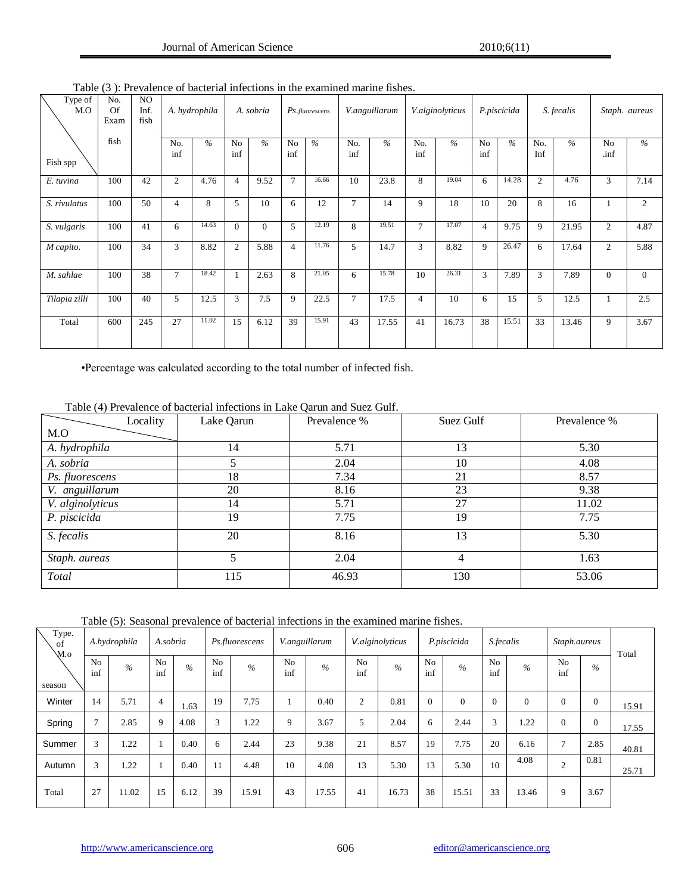| Type of<br>M.O | No.<br>Of<br>Exam | NO.<br>Inf.<br>fish | A. hydrophila  |               |                |              |                       |       |            | A. sobria |                | Ps.fluorescens |                       | V.anguillarum |                | V.alginolyticus |              | P.piscicida   |  | S. fecalis |  | Staph. aureus |
|----------------|-------------------|---------------------|----------------|---------------|----------------|--------------|-----------------------|-------|------------|-----------|----------------|----------------|-----------------------|---------------|----------------|-----------------|--------------|---------------|--|------------|--|---------------|
| Fish spp       | fish              |                     | No.<br>inf     | $\frac{0}{6}$ | No<br>inf      | $\%$         | N <sub>0</sub><br>inf | $\%$  | No.<br>inf | $\%$      | No.<br>inf     | $\frac{0}{2}$  | N <sub>0</sub><br>inf | $\frac{0}{6}$ | No.<br>Inf     | $\%$            | No<br>.inf   | $\frac{0}{0}$ |  |            |  |               |
| E. tuvina      | 100               | 42                  | $\overline{2}$ | 4.76          | 4              | 9.52         | 7                     | 16.66 | 10         | 23.8      | 8              | 19.04          | 6                     | 14.28         | $\overline{2}$ | 4.76            | 3            | 7.14          |  |            |  |               |
| S. rivulatus   | 100               | 50                  | $\overline{4}$ | 8             | 5              | 10           | 6                     | 12    | 7          | 14        | 9              | 18             | 10                    | 20            | 8              | 16              |              | 2             |  |            |  |               |
| S. vulgaris    | 100               | 41                  | 6              | 14.63         | $\Omega$       | $\mathbf{0}$ | 5                     | 12.19 | 8          | 19.51     | 7              | 17.07          | 4                     | 9.75          | 9              | 21.95           | 2            | 4.87          |  |            |  |               |
| M capito.      | 100               | 34                  | 3              | 8.82          | $\overline{c}$ | 5.88         | 4                     | 11.76 | 5          | 14.7      | 3              | 8.82           | 9                     | 26.47         | 6              | 17.64           | 2            | 5.88          |  |            |  |               |
| M. sahlae      | 100               | 38                  | $\tau$         | 18.42         |                | 2.63         | 8                     | 21.05 | 6          | 15.78     | 10             | 26.31          | 3                     | 7.89          | 3              | 7.89            | $\mathbf{0}$ | $\mathbf{0}$  |  |            |  |               |
| Tilapia zilli  | 100               | 40                  | 5              | 12.5          | 3              | 7.5          | 9                     | 22.5  | 7          | 17.5      | $\overline{4}$ | 10             | 6                     | 15            | 5              | 12.5            |              | 2.5           |  |            |  |               |
| Total          | 600               | 245                 | 27             | 11.02         | 15             | 6.12         | 39                    | 15.91 | 43         | 17.55     | 41             | 16.73          | 38                    | 15.51         | 33             | 13.46           | 9            | 3.67          |  |            |  |               |

Table (3 ): Prevalence of bacterial infections in the examined marine fishes.

•Percentage was calculated according to the total number of infected fish.

| Table (4) Prevalence of bacterial infections in Lake Qarun and Suez Gulf. |  |  |
|---------------------------------------------------------------------------|--|--|
|                                                                           |  |  |
|                                                                           |  |  |

| Locality         | Lake Qarun | Prevalence % | Suez Gulf | Prevalence % |
|------------------|------------|--------------|-----------|--------------|
| M.O              |            |              |           |              |
| A. hydrophila    | 14         | 5.71         | 13        | 5.30         |
| A. sobria        |            | 2.04         | 10        | 4.08         |
| Ps. fluorescens  | 18         | 7.34         | 21        | 8.57         |
| V. anguillarum   | 20         | 8.16         | 23        | 9.38         |
| V. alginolyticus | 14         | 5.71         | 27        | 11.02        |
| P. piscicida     | 19         | 7.75         | 19        | 7.75         |
| S. fecalis       | 20         | 8.16         | 13        | 5.30         |
| Staph. aureas    |            | 2.04         | 4         | 1.63         |
| Total            | 115        | 46.93        | 130       | 53.06        |

Table (5): Seasonal prevalence of bacterial infections in the examined marine fishes.

| Type.<br>of<br>M.o | A.hydrophila          |               | A.sobria       |               |                       |       |                       |               |                       | Ps.fluorescens |                       | V.anguillarum |                       | V.alginolyticus |                       | P.piscicida    | S.fecalis |  | Staph.aureus |  | Total |
|--------------------|-----------------------|---------------|----------------|---------------|-----------------------|-------|-----------------------|---------------|-----------------------|----------------|-----------------------|---------------|-----------------------|-----------------|-----------------------|----------------|-----------|--|--------------|--|-------|
| season             | N <sub>o</sub><br>inf | $\frac{0}{6}$ | No<br>inf      | $\frac{0}{6}$ | N <sub>o</sub><br>inf | $\%$  | N <sub>0</sub><br>inf | $\frac{0}{6}$ | N <sub>0</sub><br>inf | $\frac{0}{6}$  | N <sub>0</sub><br>inf | $\frac{0}{6}$ | N <sub>0</sub><br>inf | $\frac{0}{6}$   | N <sub>0</sub><br>inf | $\%$           |           |  |              |  |       |
| Winter             | 14                    | 5.71          | $\overline{4}$ | 1.63          | 19                    | 7.75  |                       | 0.40          | 2                     | 0.81           | $\Omega$              | $\theta$      | $\theta$              | $\Omega$        | $\mathbf{0}$          | $\overline{0}$ | 15.91     |  |              |  |       |
| Spring             | 7                     | 2.85          | 9              | 4.08          | 3                     | 1.22  | 9                     | 3.67          | 5                     | 2.04           | 6                     | 2.44          | 3                     | 1.22            | $\mathbf{0}$          | $\Omega$       | 17.55     |  |              |  |       |
| Summer             | 3                     | 1.22          |                | 0.40          | 6                     | 2.44  | 23                    | 9.38          | 21                    | 8.57           | 19                    | 7.75          | 20                    | 6.16            | $\overline{7}$        | 2.85           | 40.81     |  |              |  |       |
| Autumn             | 3                     | 1.22          |                | 0.40          | 11                    | 4.48  | 10                    | 4.08          | 13                    | 5.30           | 13                    | 5.30          | 10                    | 4.08            | $\overline{2}$        | 0.81           | 25.71     |  |              |  |       |
| Total              | 27                    | 11.02         | 15             | 6.12          | 39                    | 15.91 | 43                    | 17.55         | 41                    | 16.73          | 38                    | 15.51         | 33                    | 13.46           | 9                     | 3.67           |           |  |              |  |       |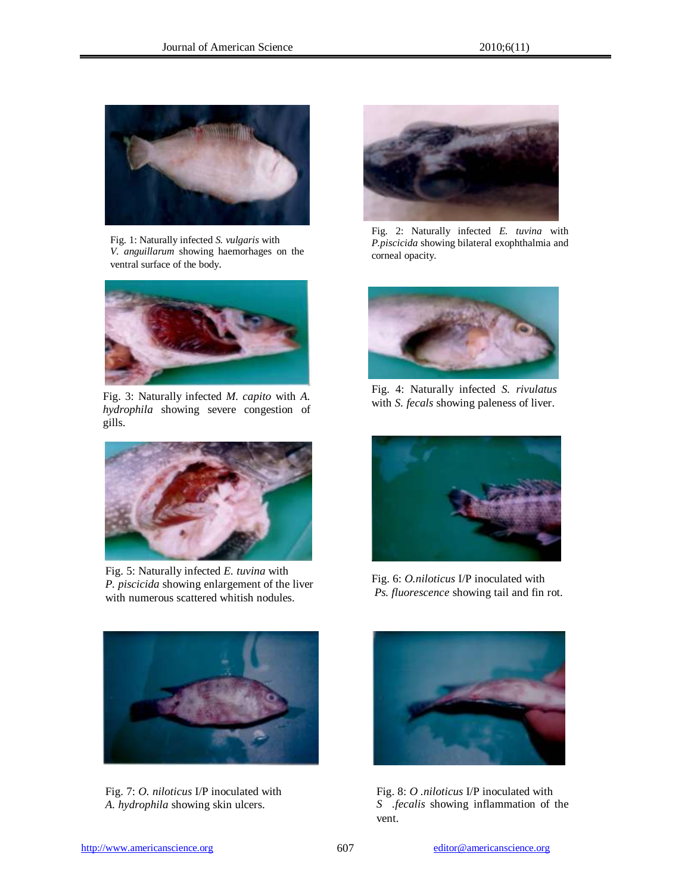

Fig. 1: Naturally infected *S. vulgaris* with *V. anguillarum* showing haemorhages on the ventral surface of the body.



Fig. 3: Naturally infected *M. capito* with *A. hydrophila* showing severe congestion of gills.



Fig. 5: Naturally infected *E. tuvina* with *P. piscicida* showing enlargement of the liver with numerous scattered whitish nodules.



Fig. 7: *O. niloticus* I/P inoculated with *A. hydrophila* showing skin ulcers.



Fig. 2: Naturally infected *E. tuvina* with *P.piscicida* showing bilateral exophthalmia and corneal opacity.



Fig. 4: Naturally infected *S. rivulatus*  with *S. fecals* showing paleness of liver.



Fig. 6: *O.niloticus* I/P inoculated with *Ps. fluorescence* showing tail and fin rot.



Fig. 8: *O .niloticus* I/P inoculated with *S .fecalis* showing inflammation of the vent.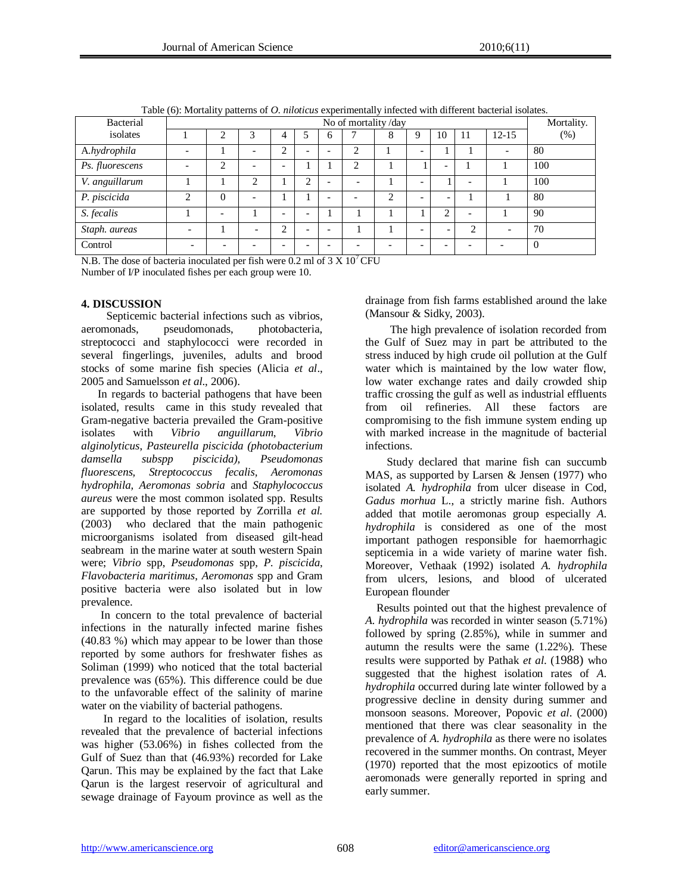| Bacterial       |                          | No of mortality/day |                          |                          |                          |                          |   |   |                          |    |                          |                          |          |
|-----------------|--------------------------|---------------------|--------------------------|--------------------------|--------------------------|--------------------------|---|---|--------------------------|----|--------------------------|--------------------------|----------|
| isolates        |                          |                     |                          |                          |                          | O                        |   | 8 | Q                        | 10 | $\perp$                  | $12 - 15$                | $(\%)$   |
| A.hydrophila    |                          |                     |                          | ↑                        | $\overline{\phantom{0}}$ | $\overline{\phantom{a}}$ | っ |   | $\overline{\phantom{0}}$ |    |                          | $\overline{\phantom{0}}$ | 80       |
| Ps. fluorescens | $\overline{\phantom{0}}$ | ◠                   |                          | $\overline{\phantom{0}}$ |                          |                          |   |   |                          |    |                          |                          | 100      |
| V. anguillarum  |                          |                     | ◠                        |                          | ◠                        | $\overline{\phantom{0}}$ |   |   | $\overline{\phantom{0}}$ |    | $\overline{\phantom{0}}$ |                          | 100      |
| P. piscicida    | $\overline{c}$           | $\Omega$            | $\overline{\phantom{0}}$ |                          |                          | $\overline{\phantom{a}}$ |   | ◠ | $\overline{\phantom{0}}$ | -  |                          |                          | 80       |
| S. fecalis      |                          |                     |                          | $\overline{\phantom{0}}$ | $\overline{\phantom{0}}$ |                          |   |   |                          | ◠  | $\overline{\phantom{0}}$ |                          | 90       |
| Staph. aureas   | $\overline{\phantom{0}}$ |                     | $\overline{\phantom{0}}$ | ◠                        | $\overline{\phantom{0}}$ | $\overline{\phantom{0}}$ |   |   | -                        |    | $\bigcap$                |                          | 70       |
| Control         |                          |                     |                          |                          | $\overline{\phantom{0}}$ | $\overline{\phantom{0}}$ |   |   |                          |    |                          |                          | $\Omega$ |

Table (6): Mortality patterns of *O. niloticus* experimentally infected with different bacterial isolates.

N.B. The dose of bacteria inoculated per fish were  $0.2$  ml of  $3 \times 10^{7}$  CFU Number of I/P inoculated fishes per each group were 10.

## **4. DISCUSSION**

Septicemic bacterial infections such as vibrios,<br>nonads, pseudomonads, photobacteria. aeromonads, pseudomonads, streptococci and staphylococci were recorded in several fingerlings, juveniles, adults and brood stocks of some marine fish species (Alicia *et al*., 2005 and Samuelsson *et al*., 2006).

 In regards to bacterial pathogens that have been isolated, results came in this study revealed that Gram-negative bacteria prevailed the Gram-positive isolates with *Vibrio anguillarum*, *Vibrio alginolyticus*, *Pasteurella piscicida (photobacterium damsella subspp piscicida), Pseudomonas fluorescens, Streptococcus fecalis, Aeromonas hydrophila, Aeromonas sobria* and *Staphylococcus aureus* were the most common isolated spp. Results are supported by those reported by Zorrilla *et al.*  (2003) who declared that the main pathogenic microorganisms isolated from diseased gilt-head seabream in the marine water at south western Spain were; *Vibrio* spp, *Pseudomonas* spp, *P. piscicida*, *Flavobacteria maritimus*, *Aeromonas* spp and Gram positive bacteria were also isolated but in low prevalence.

 In concern to the total prevalence of bacterial infections in the naturally infected marine fishes (40.83 %) which may appear to be lower than those reported by some authors for freshwater fishes as Soliman (1999) who noticed that the total bacterial prevalence was (65%). This difference could be due to the unfavorable effect of the salinity of marine water on the viability of bacterial pathogens.

 In regard to the localities of isolation, results revealed that the prevalence of bacterial infections was higher (53.06%) in fishes collected from the Gulf of Suez than that (46.93%) recorded for Lake Qarun. This may be explained by the fact that Lake Qarun is the largest reservoir of agricultural and sewage drainage of Fayoum province as well as the drainage from fish farms established around the lake (Mansour & Sidky, 2003).

The high prevalence of isolation recorded from the Gulf of Suez may in part be attributed to the stress induced by high crude oil pollution at the Gulf water which is maintained by the low water flow, low water exchange rates and daily crowded ship traffic crossing the gulf as well as industrial effluents from oil refineries. All these factors are compromising to the fish immune system ending up with marked increase in the magnitude of bacterial infections.

 Study declared that marine fish can succumb MAS, as supported by Larsen & Jensen (1977) who isolated *A. hydrophila* from ulcer disease in Cod, *Gadus morhua* L., a strictly marine fish. Authors added that motile aeromonas group especially *A. hydrophila* is considered as one of the most important pathogen responsible for haemorrhagic septicemia in a wide variety of marine water fish. Moreover, Vethaak (1992) isolated *A. hydrophila* from ulcers, lesions, and blood of ulcerated European flounder

 Results pointed out that the highest prevalence of *A. hydrophila* was recorded in winter season (5.71%) followed by spring (2.85%), while in summer and autumn the results were the same (1.22%). These results were supported by [Pathak](http://www.ncbi.nlm.nih.gov/entrez/query.fcgi?db=pubmed&cmd=Search&itool=pubmed_AbstractPlus&term=%22Pathak+SP%22%5BAuthor%5D) *et al*. (1988) who suggested that the highest isolation rates of *A. hydrophila* occurred during late winter followed by a progressive decline in density during summer and monsoon seasons. Moreover, Popovic *et al*. (2000) mentioned that there was clear seasonality in the prevalence of *A. hydrophila* as there were no isolates recovered in the summer months. On contrast, Meyer (1970) reported that the most epizootics of motile aeromonads were generally reported in spring and early summer.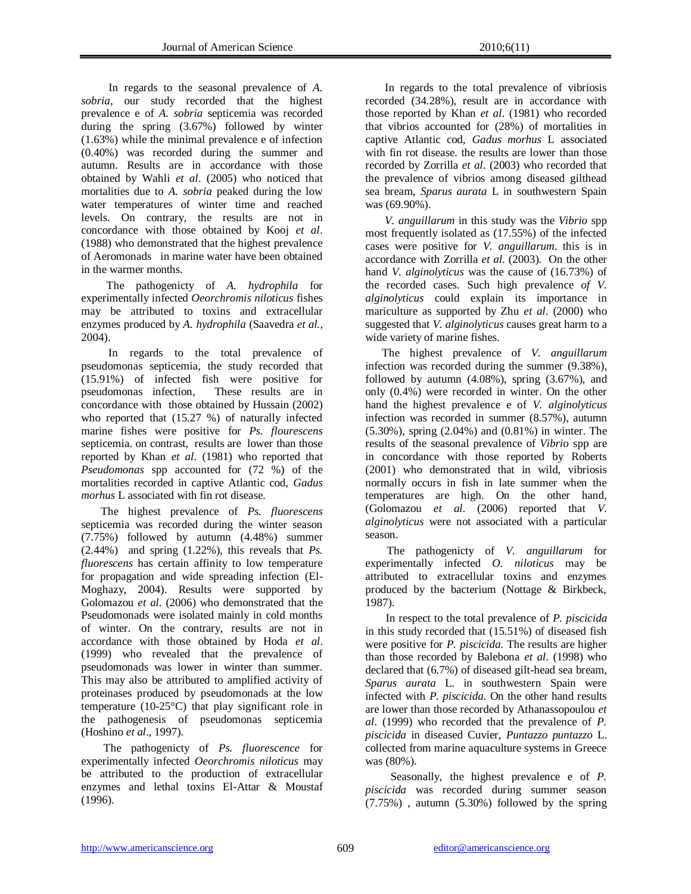In regards to the seasonal prevalence of *A. sobria*, our study recorded that the highest prevalence e of *A. sobria* septicemia was recorded during the spring (3.67%) followed by winter (1.63%) while the minimal prevalence e of infection (0.40%) was recorded during the summer and autumn. Results are in accordance with those obtained by Wahli *et al*. (2005) who noticed that mortalities due to *A. sobria* peaked during the low water temperatures of winter time and reached levels. On contrary, the results are not in concordance with those obtained by Kooj *et al*. (1988) who demonstrated that the highest prevalence of Aeromonads in marine water have been obtained in the warmer months.

 The pathogenicty of *A. hydrophila* for experimentally infected *Oeorchromis niloticus* fishes may be attributed to toxins and extracellular enzymes produced by *A. hydrophila* (Saavedra *et al.*, 2004).

 In regards to the total prevalence of pseudomonas septicemia, the study recorded that (15.91%) of infected fish were positive for pseudomonas infection, These results are in concordance with those obtained by Hussain (2002) who reported that (15.27 %) of naturally infected marine fishes were positive for *Ps. flourescens* septicemia. on contrast, results are lower than those reported by Khan *et al*. (1981) who reported that *Pseudomonas* spp accounted for (72 %) of the mortalities recorded in captive Atlantic cod, *Gadus morhus* L associated with fin rot disease.

 The highest prevalence of *Ps. fluorescens* septicemia was recorded during the winter season (7.75%) followed by autumn (4.48%) summer (2.44%) and spring (1.22%), this reveals that *Ps. fluorescens* has certain affinity to low temperature for propagation and wide spreading infection (El-Moghazy, 2004). Results were supported by Golomazou *et al*. (2006) who demonstrated that the Pseudomonads were isolated mainly in cold months of winter. On the contrary, results are not in accordance with those obtained by Hoda *et al*. (1999) who revealed that the prevalence of pseudomonads was lower in winter than summer. This may also be attributed to amplified activity of proteinases produced by pseudomonads at the low temperature (10-25°C) that play significant role in the pathogenesis of pseudomonas septicemia (Hoshino *et al*., 1997).

 The pathogenicty of *Ps. fluorescence* for experimentally infected *Oeorchromis niloticus* may be attributed to the production of extracellular enzymes and lethal toxins El-Attar & Moustaf (1996).

 In regards to the total prevalence of vibriosis recorded (34.28%), result are in accordance with those reported by Khan *et al*. (1981) who recorded that vibrios accounted for (28%) of mortalities in captive Atlantic cod, *Gadus morhus* L associated with fin rot disease. the results are lower than those recorded by Zorrilla *et al*. (2003) who recorded that the prevalence of vibrios among diseased gilthead sea bream, *Sparus aurata* L in southwestern Spain was (69.90%).

 *V. anguillarum* in this study was the *Vibrio* spp most frequently isolated as (17.55%) of the infected cases were positive for *V. anguillarum*. this is in accordance with Zorrilla *et al*. (2003). On the other hand *V. alginolyticus* was the cause of (16.73%) of the recorded cases. Such high prevalence *of V. alginolyticus* could explain its importance in mariculture as supported by Zhu *et al*. (2000) who suggested that *V. alginolyticus* causes great harm to a wide variety of marine fishes.

 The highest prevalence of *V. anguillarum* infection was recorded during the summer (9.38%), followed by autumn  $(4.08\%)$ , spring  $(3.67\%)$ , and only (0.4%) were recorded in winter. On the other hand the highest prevalence e of *V. alginolyticus* infection was recorded in summer (8.57%), autumn (5.30%), spring (2.04%) and (0.81%) in winter. The results of the seasonal prevalence of *Vibrio* spp are in concordance with those reported by Roberts (2001) who demonstrated that in wild, vibriosis normally occurs in fish in late summer when the temperatures are high. On the other hand, (Golomazou *et al*. (2006) reported that *V. alginolyticus* were not associated with a particular season.

 The pathogenicty of *V. anguillarum* for experimentally infected *O. niloticus* may be attributed to extracellular toxins and enzymes produced by the bacterium (Nottage & Birkbeck, 1987).

In respect to the total prevalence of *P. piscicida* in this study recorded that (15.51%) of diseased fish were positive for *P. piscicida*. The results are higher than those recorded by Balebona *et al*. (1998) who declared that (6.7%) of diseased gilt-head sea bream, *Sparus aurata* L. in southwestern Spain were infected with *P. piscicida*. On the other hand results are lower than those recorded by Athanassopoulou *et al*. (1999) who recorded that the prevalence of *P. piscicida* in diseased Cuvier, *Puntazzo puntazzo* L. collected from marine aquaculture systems in Greece was (80%).

 Seasonally, the highest prevalence e of *P. piscicida* was recorded during summer season (7.75%) , autumn (5.30%) followed by the spring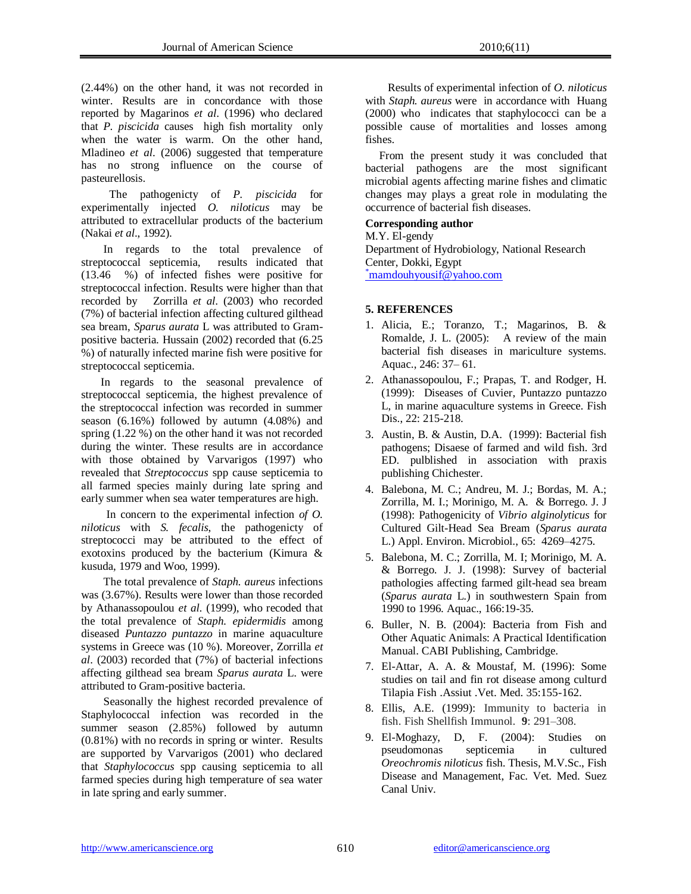(2.44%) on the other hand, it was not recorded in winter. Results are in concordance with those reported by Magarinos *et al*. (1996) who declared that *P. piscicida* causes high fish mortality only when the water is warm. On the other hand, Mladineo *et al*. (2006) suggested that temperature has no strong influence on the course of pasteurellosis.

 The pathogenicty of *P. piscicida* for experimentally injected *O. niloticus* may be attributed to extracellular products of the bacterium (Nakai *et al*., 1992).

 In regards to the total prevalence of streptococcal septicemia, results indicated that (13.46 %) of infected fishes were positive for streptococcal infection. Results were higher than that recorded by Zorrilla *et al*. (2003) who recorded (7%) of bacterial infection affecting cultured gilthead sea bream, *Sparus aurata* L was attributed to Grampositive bacteria. Hussain (2002) recorded that (6.25 %) of naturally infected marine fish were positive for streptococcal septicemia.

 In regards to the seasonal prevalence of streptococcal septicemia, the highest prevalence of the streptococcal infection was recorded in summer season (6.16%) followed by autumn (4.08%) and spring (1.22 %) on the other hand it was not recorded during the winter. These results are in accordance with those obtained by Varvarigos (1997) who revealed that *Streptococcus* spp cause septicemia to all farmed species mainly during late spring and early summer when sea water temperatures are high.

 In concern to the experimental infection *of O. niloticus* with *S. fecalis*, the pathogenicty of streptococci may be attributed to the effect of exotoxins produced by the bacterium (Kimura & kusuda, 1979 and Woo, 1999).

 The total prevalence of *Staph. aureus* infections was (3.67%). Results were lower than those recorded by Athanassopoulou *et al.* (1999), who recoded that the total prevalence of *Staph. epidermidis* among diseased *Puntazzo puntazzo* in marine aquaculture systems in Greece was (10 %). Moreover, Zorrilla *et al*. (2003) recorded that (7%) of bacterial infections affecting gilthead sea bream *Sparus aurata* L. were attributed to Gram-positive bacteria.

 Seasonally the highest recorded prevalence of Staphylococcal infection was recorded in the summer season (2.85%) followed by autumn (0.81%) with no records in spring or winter. Results are supported by Varvarigos (2001) who declared that *Staphylococcus* spp causing septicemia to all farmed species during high temperature of sea water in late spring and early summer.

 Results of experimental infection of *O. niloticus* with *Staph. aureus* were in accordance with Huang (2000) who indicates that staphylococci can be a possible cause of mortalities and losses among fishes.

 From the present study it was concluded that bacterial pathogens are the most significant microbial agents affecting marine fishes and climatic changes may plays a great role in modulating the occurrence of bacterial fish diseases.

## **Corresponding author**

M.Y. El-gendy Department of Hydrobiology, National Research Center, Dokki, Egypt \*[mamdouhyousif@yahoo.com](mailto:*mamdouhyousif@yahoo.com)

## **5. REFERENCES**

- 1. Alicia, E.; Toranzo, T.; Magarinos, B. & Romalde, J. L. (2005): A review of the main bacterial fish diseases in mariculture systems. Aquac., 246: 37– 61.
- 2. Athanassopoulou, F.; Prapas, T. and Rodger, H. (1999): Diseases of Cuvier, Puntazzo puntazzo L, in marine aquaculture systems in Greece. Fish Dis., 22: 215-218.
- 3. Austin, B. & Austin, D.A. (1999): Bacterial fish pathogens; Disaese of farmed and wild fish. 3rd ED. pulblished in association with praxis publishing Chichester.
- 4. Balebona, M. C.; Andreu, M. J.; Bordas, M. A.; Zorrilla, M. I.; Morinigo, M. A. & Borrego. J. J (1998): Pathogenicity of *Vibrio alginolyticus* for Cultured Gilt-Head Sea Bream (*Sparus aurata* L.) Appl. Environ. Microbiol., 65: 4269–4275.
- 5. Balebona, M. C.; Zorrilla, M. I; Morinigo, M. A. & Borrego. J. J. (1998): Survey of bacterial pathologies affecting farmed gilt-head sea bream (*Sparus aurata* L.) in southwestern Spain from 1990 to 1996. Aquac., 166:19-35.
- 6. Buller, N. B. (2004): Bacteria from Fish and Other Aquatic Animals: A Practical Identification Manual. CABI Publishing, Cambridge.
- 7. El-Attar, A. A. & Moustaf, M. (1996): Some studies on tail and fin rot disease among culturd Tilapia Fish .Assiut .Vet. Med. 35:155-162.
- 8. Ellis, A.E. (1999): Immunity to bacteria in fish. Fish Shellfish Immunol. **9**: 291–308.
- 9. El-Moghazy, D, F. (2004): Studies on pseudomonas septicemia in cultured *Oreochromis niloticus* fish. Thesis, M.V.Sc., Fish Disease and Management, Fac. Vet. Med. Suez Canal Univ.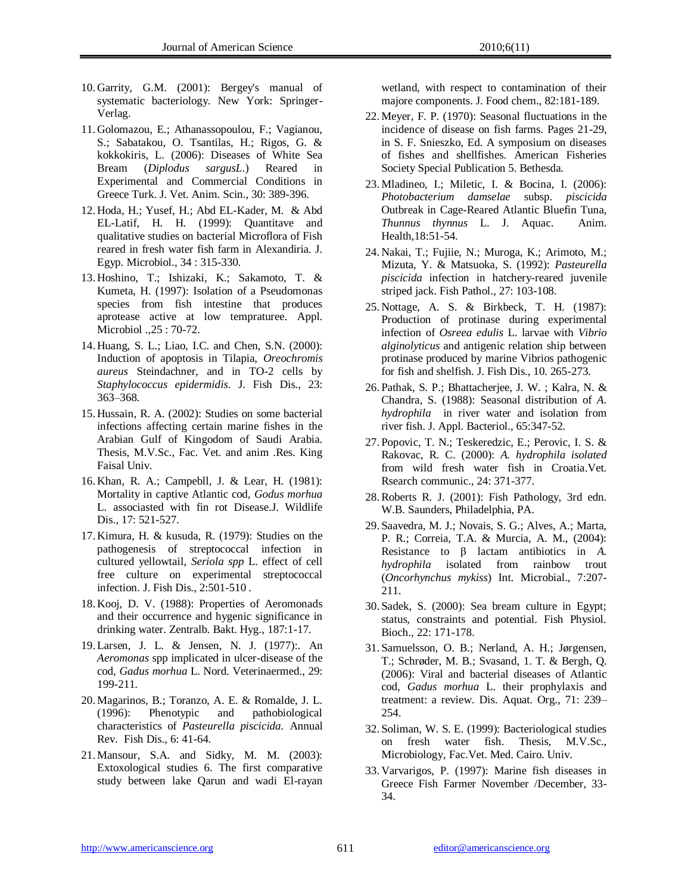- 10. Garrity, G.M. (2001): Bergey's manual of systematic bacteriology. New York: Springer-Verlag.
- 11. Golomazou, E.; Athanassopoulou, F.; Vagianou, S.; Sabatakou, O. Tsantilas, H.; Rigos, G. & kokkokiris, L. (2006): Diseases of White Sea Bream (*Diplodus sargusL*.) Reared in Experimental and Commercial Conditions in Greece Turk. J. Vet. Anim. Scin., 30: 389-396.
- 12. Hoda, H.; Yusef, H.; Abd EL-Kader, M. & Abd EL-Latif, H. H. (1999): Quantitave and qualitative studies on bacterial Microflora of Fish reared in fresh water fish farm in Alexandiria. J. Egyp. Microbiol., 34 : 315-330.
- 13. Hoshino, T.; Ishizaki, K.; Sakamoto, T. & Kumeta, H. (1997): Isolation of a Pseudomonas species from fish intestine that produces aprotease active at low tempraturee. Appl. Microbiol .,25 : 70-72.
- 14. Huang, S. L.; Liao, I.C. and Chen, S.N. (2000): Induction of apoptosis in Tilapia, *Oreochromis aureus* Steindachner, and in TO-2 cells by *Staphylococcus epidermidis*. J. Fish Dis., 23: 363–368.
- 15. Hussain, R. A. (2002): Studies on some bacterial infections affecting certain marine fishes in the Arabian Gulf of Kingodom of Saudi Arabia. Thesis, M.V.Sc., Fac. Vet. and anim .Res. King Faisal Univ.
- 16. Khan, R. A.; Campebll, J. & Lear, H. (1981): Mortality in captive Atlantic cod, *Godus morhua* L. associasted with fin rot Disease.J. Wildlife Dis., 17: 521-527.
- 17. Kimura, H. & kusuda, R. (1979): Studies on the pathogenesis of streptococcal infection in cultured yellowtail, *Seriola spp* L. effect of cell free culture on experimental streptococcal infection. J. Fish Dis., 2:501-510 .
- 18. Kooj, D. V. (1988): Properties of Aeromonads and their occurrence and hygenic significance in drinking water. Zentralb. Bakt. Hyg., 187:1-17.
- 19. Larsen, J. L. & Jensen, N. J. (1977):. An *Aeromonas* spp implicated in ulcer-disease of the cod, *Gadus morhua* L. Nord. Veterinaermed., 29: 199-211.
- 20. Magarinos, B.; Toranzo, A. E. & Romalde, J. L. (1996): Phenotypic and pathobiological characteristics of *Pasteurella piscicida.* Annual Rev. Fish Dis., 6: 41-64.
- 21. Mansour, S.A. and Sidky, M. M. (2003): Extoxological studies 6. The first comparative study between lake Qarun and wadi El-rayan

wetland, with respect to contamination of their majore components. J. Food chem., 82:181-189.

- 22. Meyer, F. P. (1970): Seasonal fluctuations in the incidence of disease on fish farms. Pages 21-29, in S. F. Snieszko, Ed. A symposium on diseases of fishes and shellfishes. American Fisheries Society Special Publication 5. Bethesda.
- 23. Mladineo, I.; Miletic, I. & Bocina, I. (2006): *Photobacterium damselae* subsp. *piscicida*  Outbreak in Cage-Reared Atlantic Bluefin Tuna, *Thunnus thynnus* L. J. Aquac. Anim. Health,18:51-54.
- 24. Nakai, T.; Fujiie, N.; Muroga, K.; Arimoto, M.; Mizuta, Y. & Matsuoka, S. (1992): *Pasteurella piscicida* infection in hatchery-reared juvenile striped jack. Fish Pathol., 27: 103-108.
- 25. Nottage, A. S. & Birkbeck, T. H. (1987): Production of protinase during experimental infection of *Osreea edulis* L. larvae with *Vibrio alginolyticus* and antigenic relation ship between protinase produced by marine Vibrios pathogenic for fish and shelfish. J. Fish Dis., 10. 265-273.
- 26. [Pathak, S. P.](http://www.ncbi.nlm.nih.gov/entrez/query.fcgi?db=pubmed&cmd=Search&itool=pubmed_AbstractPlus&term=%22Pathak+SP%22%5BAuthor%5D); [Bhattacherjee, J. W.](http://www.ncbi.nlm.nih.gov/entrez/query.fcgi?db=pubmed&cmd=Search&itool=pubmed_AbstractPlus&term=%22Bhattacherjee+JW%22%5BAuthor%5D) ; [Kalra, N.](http://www.ncbi.nlm.nih.gov/entrez/query.fcgi?db=pubmed&cmd=Search&itool=pubmed_AbstractPlus&term=%22Kalra+N%22%5BAuthor%5D) & [Chandra, S.](http://www.ncbi.nlm.nih.gov/entrez/query.fcgi?db=pubmed&cmd=Search&itool=pubmed_AbstractPlus&term=%22Chandra+S%22%5BAuthor%5D) (1988): Seasonal distribution of *A. hydrophila* in river water and isolation from river fish[. J. Appl. Bacteriol.,](javascript:AL_get(this,%20) 65:347-52.
- 27. Popovic, T. N.; Teskeredzic, E.; Perovic, I. S. & Rakovac, R. C. (2000): *A. hydrophila isolated* from wild fresh water fish in Croatia.Vet. Rsearch communic., 24: 371-377.
- 28.Roberts R. J. (2001): Fish Pathology, 3rd edn. W.B. Saunders, Philadelphia, PA.
- 29. Saavedra, M. J.; Novais, S. G.; Alves, A.; Marta, P. R.; Correia, T.A. & Murcia, A. M., (2004): Resistance to β lactam antibiotics in *A. hydrophila* isolated from rainbow trout (*Oncorhynchus mykiss*) Int. Microbial., 7:207- 211.
- 30. Sadek, S. (2000): Sea bream culture in Egypt; status, constraints and potential. Fish Physiol. Bioch., 22: 171-178.
- 31. Samuelsson, O. B.; Nerland, A. H.; Jørgensen, T.; Schrøder, M. B.; Svasand, 1. T. & Bergh, Q. (2006): Viral and bacterial diseases of Atlantic cod, *Gadus morhua* L. their prophylaxis and treatment: a review. Dis. Aquat. Org., 71: 239– 254.
- 32. Soliman, W. S. E. (1999): Bacteriological studies on fresh water fish. Thesis, M.V.Sc., Microbiology, Fac.Vet. Med. Cairo. Univ.
- 33. Varvarigos, P. (1997): Marine fish diseases in Greece Fish Farmer November /December, 33- 34.